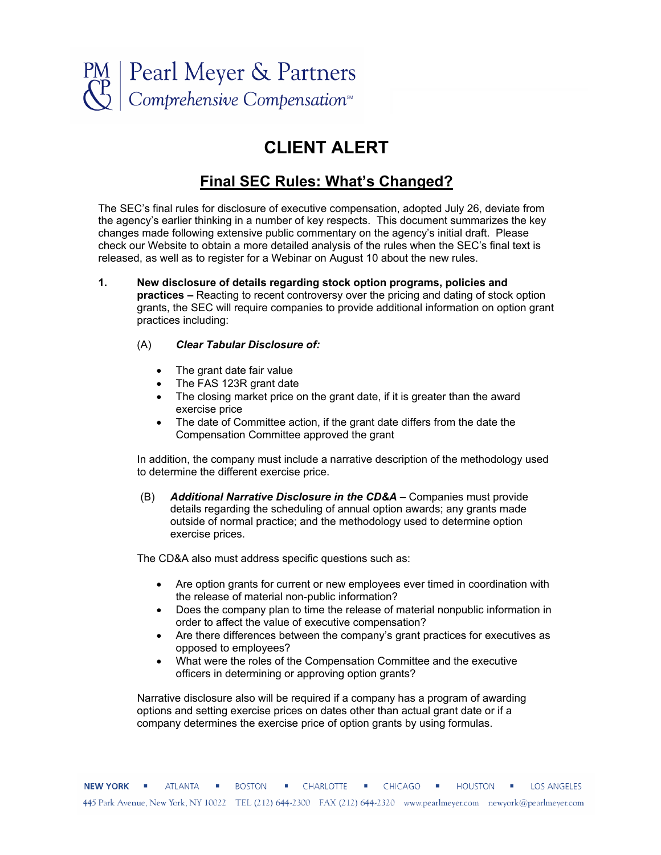

## **CLIENT ALERT**

## **Final SEC Rules: What's Changed?**

The SEC's final rules for disclosure of executive compensation, adopted July 26, deviate from the agency's earlier thinking in a number of key respects. This document summarizes the key changes made following extensive public commentary on the agency's initial draft. Please check our Website to obtain a more detailed analysis of the rules when the SEC's final text is released, as well as to register for a Webinar on August 10 about the new rules.

**1. New disclosure of details regarding stock option programs, policies and practices –** Reacting to recent controversy over the pricing and dating of stock option grants, the SEC will require companies to provide additional information on option grant practices including:

## (A) *Clear Tabular Disclosure of:*

- The grant date fair value
- The FAS 123R grant date
- The closing market price on the grant date, if it is greater than the award exercise price
- The date of Committee action, if the grant date differs from the date the Compensation Committee approved the grant

In addition, the company must include a narrative description of the methodology used to determine the different exercise price.

(B) *Additional Narrative Disclosure in the CD&A –* Companies must provide details regarding the scheduling of annual option awards; any grants made outside of normal practice; and the methodology used to determine option exercise prices.

The CD&A also must address specific questions such as:

- Are option grants for current or new employees ever timed in coordination with the release of material non-public information?
- Does the company plan to time the release of material nonpublic information in order to affect the value of executive compensation?
- x Are there differences between the company's grant practices for executives as opposed to employees?
- x What were the roles of the Compensation Committee and the executive officers in determining or approving option grants?

Narrative disclosure also will be required if a company has a program of awarding options and setting exercise prices on dates other than actual grant date or if a company determines the exercise price of option grants by using formulas.